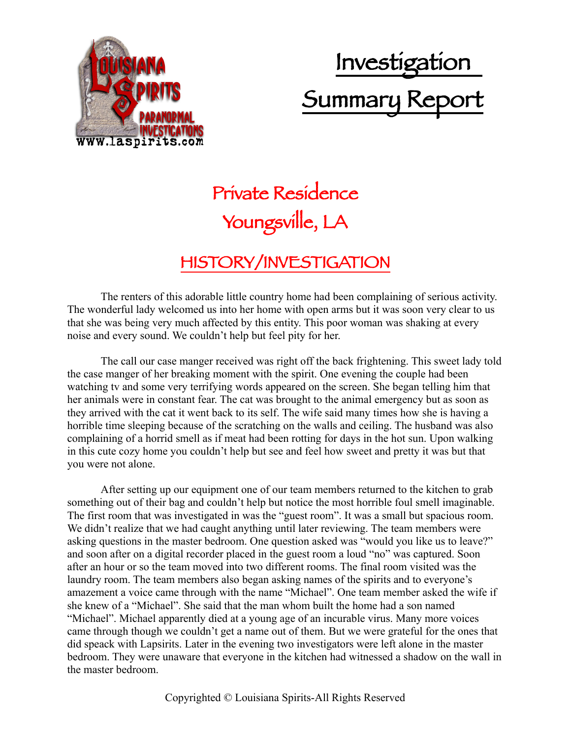

## Investigation Summary Report

## Private Residence Youngsville, LA

## HISTORY/INVESTIGATION

The renters of this adorable little country home had been complaining of serious activity. The wonderful lady welcomed us into her home with open arms but it was soon very clear to us that she was being very much affected by this entity. This poor woman was shaking at every noise and every sound. We couldn't help but feel pity for her.

The call our case manger received was right off the back frightening. This sweet lady told the case manger of her breaking moment with the spirit. One evening the couple had been watching tv and some very terrifying words appeared on the screen. She began telling him that her animals were in constant fear. The cat was brought to the animal emergency but as soon as they arrived with the cat it went back to its self. The wife said many times how she is having a horrible time sleeping because of the scratching on the walls and ceiling. The husband was also complaining of a horrid smell as if meat had been rotting for days in the hot sun. Upon walking in this cute cozy home you couldn't help but see and feel how sweet and pretty it was but that you were not alone.

After setting up our equipment one of our team members returned to the kitchen to grab something out of their bag and couldn't help but notice the most horrible foul smell imaginable. The first room that was investigated in was the "guest room". It was a small but spacious room. We didn't realize that we had caught anything until later reviewing. The team members were asking questions in the master bedroom. One question asked was "would you like us to leave?" and soon after on a digital recorder placed in the guest room a loud "no" was captured. Soon after an hour or so the team moved into two different rooms. The final room visited was the laundry room. The team members also began asking names of the spirits and to everyone's amazement a voice came through with the name "Michael". One team member asked the wife if she knew of a "Michael". She said that the man whom built the home had a son named "Michael". Michael apparently died at a young age of an incurable virus. Many more voices came through though we couldn't get a name out of them. But we were grateful for the ones that did speack with Lapsirits. Later in the evening two investigators were left alone in the master bedroom. They were unaware that everyone in the kitchen had witnessed a shadow on the wall in the master bedroom.